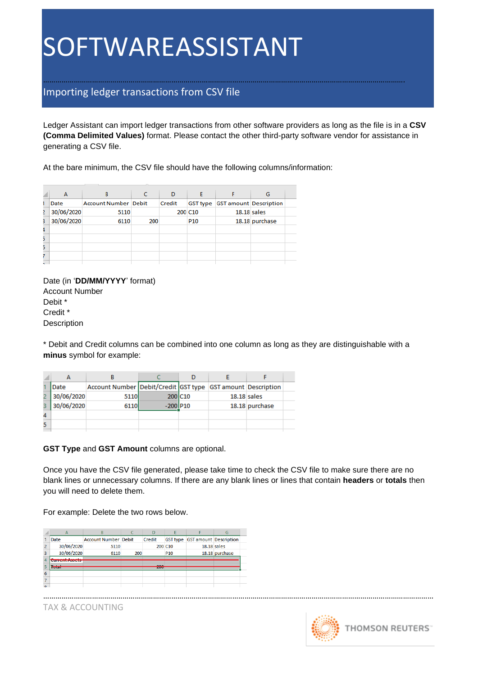#### Importing ledger transactions from CSV file

Ledger Assistant can import ledger transactions from other software providers as long as the file is in a **CSV (Comma Delimited Values)** format. Please contact the other third-party software vendor for assistance in generating a CSV file.

…………………………………………………………………………………………………………………………………………………………….

At the bare minimum, the CSV file should have the following columns/information:

|   | A          | B                           |     | D      | F               |                                 | G              |  |
|---|------------|-----------------------------|-----|--------|-----------------|---------------------------------|----------------|--|
|   | Date       | <b>Account Number Debit</b> |     | Credit |                 | GST type GST amount Description |                |  |
| 2 | 30/06/2020 | 5110                        |     |        | 200 C10         | $18.18$ sales                   |                |  |
| З | 30/06/2020 | 6110                        | 200 |        | P <sub>10</sub> |                                 | 18.18 purchase |  |
|   |            |                             |     |        |                 |                                 |                |  |
| 5 |            |                             |     |        |                 |                                 |                |  |
| 5 |            |                             |     |        |                 |                                 |                |  |
|   |            |                             |     |        |                 |                                 |                |  |
|   |            |                             |     |        |                 |                                 |                |  |

Date (in '**DD/MM/YYYY**' format) Account Number Debit \* Credit \* Description

\* Debit and Credit columns can be combined into one column as long as they are distinguishable with a **minus** symbol for example:

|   | Date       | Account Number Debit/Credit GST type GST amount Description |            |                     |               |                |  |
|---|------------|-------------------------------------------------------------|------------|---------------------|---------------|----------------|--|
|   | 30/06/2020 | 5110                                                        |            | 200 C <sub>10</sub> | $18.18$ sales |                |  |
| з | 30/06/2020 | 6110                                                        | $-200$ P10 |                     |               | 18.18 purchase |  |
| 4 |            |                                                             |            |                     |               |                |  |
| 5 |            |                                                             |            |                     |               |                |  |

**GST Type** and **GST Amount** columns are optional.

Once you have the CSV file generated, please take time to check the CSV file to make sure there are no blank lines or unnecessary columns. If there are any blank lines or lines that contain **headers** or **totals** then you will need to delete them.

…………………………………………………………………………………………………………………………………………………………………………

For example: Delete the two rows below.

|                | $\overline{A}$                  | B                           |     | D             | E                   |                                        | G              |  |
|----------------|---------------------------------|-----------------------------|-----|---------------|---------------------|----------------------------------------|----------------|--|
|                | Date                            | <b>Account Number Debit</b> |     | Credit        |                     | <b>GST type GST amount Description</b> |                |  |
| $\overline{2}$ | 30/06/2020                      | 5110                        |     |               | 200 C <sub>10</sub> | $18.18$ sales                          |                |  |
| 3              | 30/06/2020                      | 6110                        | 200 |               | P <sub>10</sub>     |                                        | 18.18 purchase |  |
| 4              | <b>MAIN AND LOW AND COMPANY</b> |                             |     |               |                     |                                        |                |  |
|                | <b>Lexan</b>                    |                             |     | $\sim$<br>zuu |                     |                                        |                |  |
| 6              |                                 |                             |     |               |                     |                                        |                |  |
|                |                                 |                             |     |               |                     |                                        |                |  |
| $\sim$         |                                 |                             |     |               |                     |                                        |                |  |

TAX & ACCOUNTING

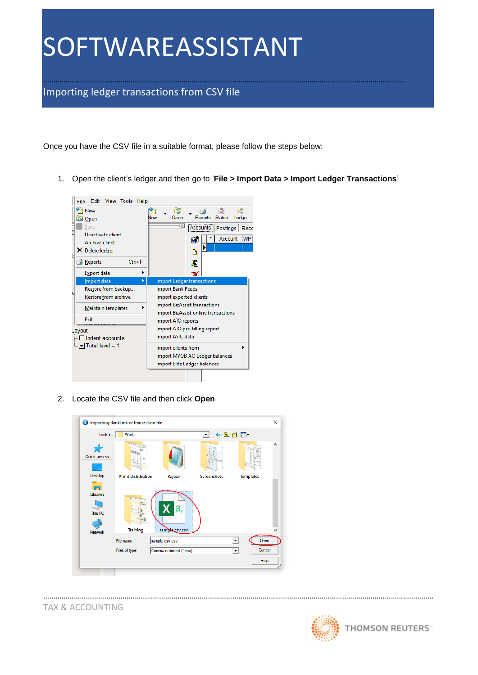……………………………………………………………………………………………………………………………………………………………. Importing ledger transactions from CSV file

Once you have the CSV file in a suitable format, please follow the steps below:

1. Open the client's ledger and then go to '**File > Import Data > Import Ledger Transactions**'



2. Locate the CSV file and then click **Open**



…………………………………………………………………………………………………………………………………………………………………………

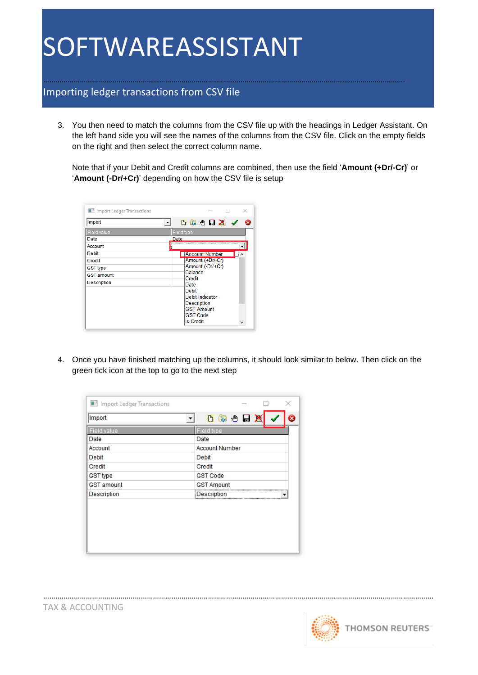### Importing ledger transactions from CSV file

3. You then need to match the columns from the CSV file up with the headings in Ledger Assistant. On the left hand side you will see the names of the columns from the CSV file. Click on the empty fields on the right and then select the correct column name.

…………………………………………………………………………………………………………………………………………………………….

Note that if your Debit and Credit columns are combined, then use the field '**Amount (+Dr/-Cr)**' or '**Amount (-Dr/+Cr)**' depending on how the CSV file is setup

| I Import Ledger Transactions         | $\times$                                                   |
|--------------------------------------|------------------------------------------------------------|
| Import                               | 以 2 9 日 夏 へ<br>- 63<br>▼                                   |
| <b>Field value</b><br>Date           | <b>Field type</b><br>Date                                  |
| Account                              |                                                            |
| Debit<br>Credit                      | <b>Account Number</b><br>⊣ ∧<br>Amount (+Dr/-Cr)           |
| <b>GST type</b><br><b>GST</b> amount | Amount (-Dr/+Cr)<br><b>Balance</b><br>Credit               |
| <b>Description</b>                   | Date<br>Debit                                              |
|                                      | Debit Indicator<br><b>Description</b><br><b>GST Amount</b> |
|                                      | <b>GST Code</b><br><b>Is Credit</b>                        |

4. Once you have finished matching up the columns, it should look similar to below. Then click on the green tick icon at the top to go to the next step

…………………………………………………………………………………………………………………………………………………………………………

| Import Ledger Transactions | ×                     |
|----------------------------|-----------------------|
| Import<br>▼                | <b>反应的同盟</b>          |
| Field value                | Field type            |
| Date                       | Date                  |
| Account                    | <b>Account Number</b> |
| Debit                      | Debit                 |
| Credit                     | Credit                |
| <b>GST type</b>            | <b>GST Code</b>       |
| <b>GST</b> amount          | <b>GST Amount</b>     |
| Description                | Description           |
|                            |                       |

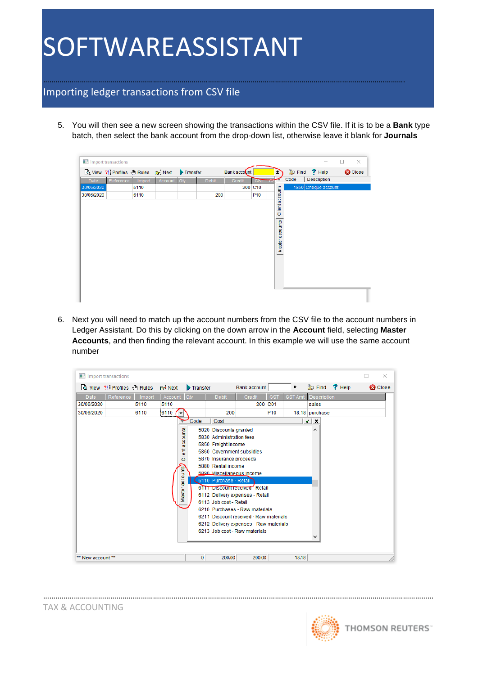#### Importing ledger transactions from CSV file

5. You will then see a new screen showing the transactions within the CSV file. If it is to be a **Bank** type batch, then select the bank account from the drop-down list, otherwise leave it blank for **Journals**

…………………………………………………………………………………………………………………………………………………………….

|            | Ill Import transactions          |        |         |          |              |              |                 |                 |      |                     | $\times$<br>п  |
|------------|----------------------------------|--------|---------|----------|--------------|--------------|-----------------|-----------------|------|---------------------|----------------|
|            | Q View ? Profiles 1 Rules 1 Next |        |         | Transfer |              | Bank account |                 | ≛               |      | Co Find ? Help      | <b>C</b> Close |
| Date       | Reference                        | Import | Account | Qty      | <b>Debit</b> | Credit       | <b>GST</b>      |                 | Code | Description         |                |
| 30/06/2020 |                                  | 5110   |         |          |              |              | 200 C10         |                 |      | 1850 Cheque account |                |
| 30/06/2020 |                                  | 6110   |         |          | 200          |              | P <sub>10</sub> |                 |      |                     |                |
|            |                                  |        |         |          |              |              |                 | Client accounts |      |                     |                |
|            |                                  |        |         |          |              |              |                 |                 |      |                     |                |
|            |                                  |        |         |          |              |              |                 |                 |      |                     |                |
|            |                                  |        |         |          |              |              |                 | Master accounts |      |                     |                |
|            |                                  |        |         |          |              |              |                 |                 |      |                     |                |
|            |                                  |        |         |          |              |              |                 |                 |      |                     |                |
|            |                                  |        |         |          |              |              |                 |                 |      |                     |                |
|            |                                  |        |         |          |              |              |                 |                 |      |                     |                |
|            |                                  |        |         |          |              |              |                 |                 |      |                     |                |
|            |                                  |        |         |          |              |              |                 |                 |      |                     |                |
|            |                                  |        |         |          |              |              |                 |                 |      |                     |                |
|            |                                  |        |         |          |              |              |                 |                 |      |                     |                |
|            |                                  |        |         |          |              |              |                 |                 |      |                     |                |

6. Next you will need to match up the account numbers from the CSV file to the account numbers in Ledger Assistant. Do this by clicking on the down arrow in the **Account** field, selecting **Master Accounts**, and then finding the relevant account. In this example we will use the same account number



…………………………………………………………………………………………………………………………………………………………………………